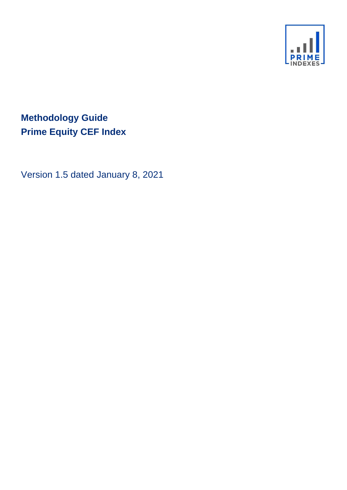

# **Methodology Guide Prime Equity CEF Index**

Version 1.5 dated January 8, 2021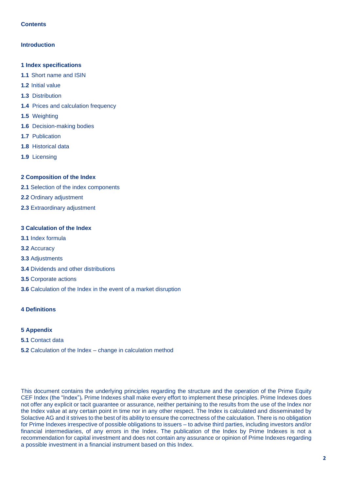# **Contents**

# **Introduction**

- **1 Index specifications**
- **1.1** Short name and ISIN
- **1.2** Initial value
- **1.3** Distribution
- **1.4** Prices and calculation frequency
- **1.5** Weighting
- **1.6** Decision-making bodies
- **1.7** Publication
- **1.8** Historical data
- **1.9** Licensing

# **2 Composition of the Index**

- **2.1** Selection of the index components
- **2.2** Ordinary adjustment
- **2.3** Extraordinary adjustment

# **3 Calculation of the Index**

- **3.1** Index formula
- **3.2** Accuracy
- **3.3** Adjustments
- **3.4** Dividends and other distributions
- **3.5** Corporate actions
- **3.6** Calculation of the Index in the event of a market disruption

# **4 Definitions**

# **5 Appendix**

- **5.1** Contact data
- **5.2** Calculation of the Index change in calculation method

This document contains the underlying principles regarding the structure and the operation of the Prime Equity CEF Index (the "Index")*.* Prime Indexes shall make every effort to implement these principles. Prime Indexes does not offer any explicit or tacit guarantee or assurance, neither pertaining to the results from the use of the Index nor the Index value at any certain point in time nor in any other respect. The Index is calculated and disseminated by Solactive AG and it strives to the best of its ability to ensure the correctness of the calculation. There is no obligation for Prime Indexes irrespective of possible obligations to issuers – to advise third parties, including investors and/or financial intermediaries, of any errors in the Index. The publication of the Index by Prime Indexes is not a recommendation for capital investment and does not contain any assurance or opinion of Prime Indexes regarding a possible investment in a financial instrument based on this Index.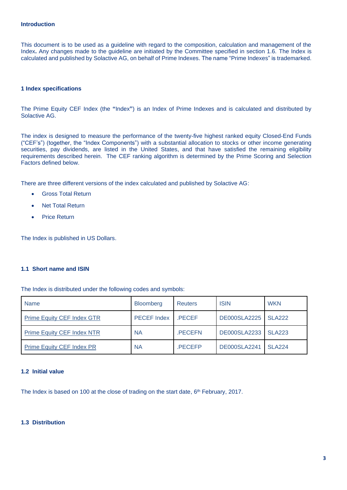## **Introduction**

This document is to be used as a guideline with regard to the composition, calculation and management of the Index**.** Any changes made to the guideline are initiated by the Committee specified in section 1.6. The Index is calculated and published by Solactive AG, on behalf of Prime Indexes. The name "Prime Indexes" is trademarked.

## **1 Index specifications**

The Prime Equity CEF Index (the **"**Index**"**) is an Index of Prime Indexes and is calculated and distributed by Solactive AG.

The index is designed to measure the performance of the twenty-five highest ranked equity Closed-End Funds ("CEF's") (together, the "Index Components") with a substantial allocation to stocks or other income generating securities, pay dividends, are listed in the United States, and that have satisfied the remaining eligibility requirements described herein. The CEF ranking algorithm is determined by the Prime Scoring and Selection Factors defined below.

There are three different versions of the index calculated and published by Solactive AG:

- Gross Total Return
- **Net Total Return**
- **Price Return**

The Index is published in US Dollars.

# **1.1 Short name and ISIN**

The Index is distributed under the following codes and symbols:

| <b>Name</b>                       | <b>Bloomberg</b>   | <b>Reuters</b> | <b>ISIN</b>         | <b>WKN</b>    |
|-----------------------------------|--------------------|----------------|---------------------|---------------|
| <b>Prime Equity CEF Index GTR</b> | <b>PECEF Index</b> | <b>PECEF</b>   | <b>DE000SLA2225</b> | <b>SLA222</b> |
| <b>Prime Equity CEF Index NTR</b> | <b>NA</b>          | .PECEFN        | DE000SLA2233        | <b>SLA223</b> |
| <b>Prime Equity CEF Index PR</b>  | <b>NA</b>          | <b>PECEFP</b>  | <b>DE000SLA2241</b> | <b>SLA224</b> |

#### **1.2 Initial value**

The Index is based on 100 at the close of trading on the start date, 6<sup>th</sup> February, 2017.

# **1.3 Distribution**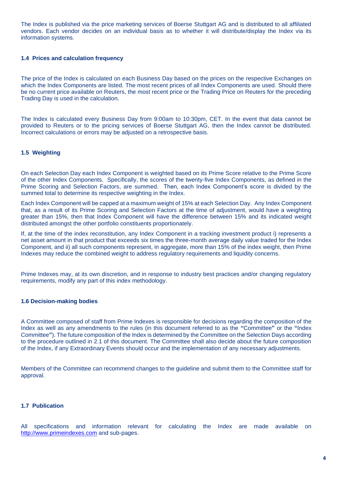The Index is published via the price marketing services of Boerse Stuttgart AG and is distributed to all affiliated vendors. Each vendor decides on an individual basis as to whether it will distribute/display the Index via its information systems.

## **1.4 Prices and calculation frequency**

The price of the Index is calculated on each Business Day based on the prices on the respective Exchanges on which the Index Components are listed. The most recent prices of all Index Components are used. Should there be no current price available on Reuters, the most recent price or the Trading Price on Reuters for the preceding Trading Day is used in the calculation.

The Index is calculated every Business Day from 9:00am to 10:30pm, CET. In the event that data cannot be provided to Reuters or to the pricing services of Boerse Stuttgart AG, then the Index cannot be distributed. Incorrect calculations or errors may be adjusted on a retrospective basis.

# **1.5 Weighting**

On each Selection Day each Index Component is weighted based on its Prime Score relative to the Prime Score of the other Index Components. Specifically, the scores of the twenty-five Index Components, as defined in the Prime Scoring and Selection Factors, are summed. Then, each Index Component's score is divided by the summed total to determine its respective weighting in the Index.

Each Index Component will be capped at a maximum weight of 15% at each Selection Day. Any Index Component that, as a result of its Prime Scoring and Selection Factors at the time of adjustment, would have a weighting greater than 15%, then that Index Component will have the difference between 15% and its indicated weight distributed amongst the other portfolio constituents proportionately.

If, at the time of the index reconstitution, any Index Component in a tracking investment product i) represents a net asset amount in that product that exceeds six times the three-month average daily value traded for the Index Component, and ii) all such components represent, in aggregate, more than 15% of the index weight, then Prime Indexes may reduce the combined weight to address regulatory requirements and liquidity concerns.

Prime Indexes may, at its own discretion, and in response to industry best practices and/or changing regulatory requirements, modify any part of this index methodology.

#### **1.6 Decision-making bodies**

A Committee composed of staff from Prime Indexes is responsible for decisions regarding the composition of the Index as well as any amendments to the rules (in this document referred to as the **"**Committee**"** or the **"**Index Committee**"**). The future composition of the Index is determined by the Committee on the Selection Days according to the procedure outlined in 2.1 of this document. The Committee shall also decide about the future composition of the Index, if any Extraordinary Events should occur and the implementation of any necessary adjustments.

Members of the Committee can recommend changes to the guideline and submit them to the Committee staff for approval.

# **1.7 Publication**

All specifications and information relevant for calculating the Index are made available on [http://www.primeindexes.com](http://www.primeindexes.com/) and sub-pages.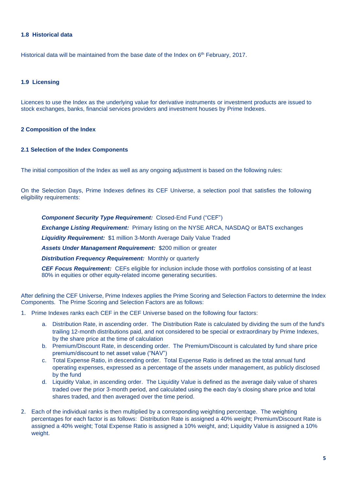# **1.8 Historical data**

Historical data will be maintained from the base date of the Index on 6<sup>th</sup> February, 2017.

# **1.9 Licensing**

Licences to use the Index as the underlying value for derivative instruments or investment products are issued to stock exchanges, banks, financial services providers and investment houses by Prime Indexes.

# **2 Composition of the Index**

# **2.1 Selection of the Index Components**

The initial composition of the Index as well as any ongoing adjustment is based on the following rules:

On the Selection Days, Prime Indexes defines its CEF Universe, a selection pool that satisfies the following eligibility requirements:

*Component Security Type Requirement:* Closed-End Fund ("CEF")

*Exchange Listing Requirement:* Primary listing on the NYSE ARCA, NASDAQ or BATS exchanges

*Liquidity Requirement:* \$1 million 3-Month Average Daily Value Traded

*Assets Under Management Requirement:* \$200 million or greater

*Distribution Frequency Requirement:* Monthly or quarterly

*CEF Focus Requirement:* CEFs eligible for inclusion include those with portfolios consisting of at least 80% in equities or other equity-related income generating securities.

After defining the CEF Universe, Prime Indexes applies the Prime Scoring and Selection Factors to determine the Index Components. The Prime Scoring and Selection Factors are as follows:

- 1. Prime Indexes ranks each CEF in the CEF Universe based on the following four factors:
	- a. Distribution Rate, in ascending order. The Distribution Rate is calculated by dividing the sum of the fund's trailing 12-month distributions paid, and not considered to be special or extraordinary by Prime Indexes, by the share price at the time of calculation
	- b. Premium/Discount Rate, in descending order. The Premium/Discount is calculated by fund share price premium/discount to net asset value ("NAV")
	- c. Total Expense Ratio, in descending order. Total Expense Ratio is defined as the total annual fund operating expenses, expressed as a percentage of the assets under management, as publicly disclosed by the fund
	- d. Liquidity Value, in ascending order. The Liquidity Value is defined as the average daily value of shares traded over the prior 3-month period, and calculated using the each day's closing share price and total shares traded, and then averaged over the time period.
- 2. Each of the individual ranks is then multiplied by a corresponding weighting percentage. The weighting percentages for each factor is as follows: Distribution Rate is assigned a 40% weight; Premium/Discount Rate is assigned a 40% weight; Total Expense Ratio is assigned a 10% weight, and; Liquidity Value is assigned a 10% weight.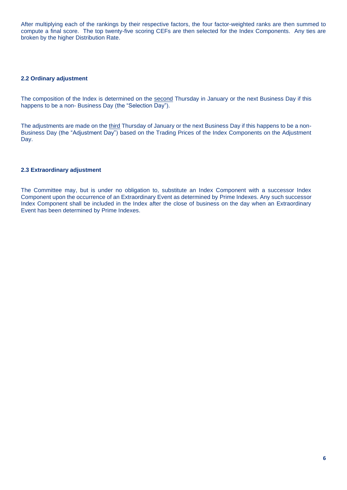After multiplying each of the rankings by their respective factors, the four factor-weighted ranks are then summed to compute a final score. The top twenty-five scoring CEFs are then selected for the Index Components. Any ties are broken by the higher Distribution Rate.

#### **2.2 Ordinary adjustment**

The composition of the Index is determined on the second Thursday in January or the next Business Day if this happens to be a non- Business Day (the "Selection Day").

The adjustments are made on the third Thursday of January or the next Business Day if this happens to be a non-Business Day (the "Adjustment Day") based on the Trading Prices of the Index Components on the Adjustment Day.

# **2.3 Extraordinary adjustment**

The Committee may, but is under no obligation to, substitute an Index Component with a successor Index Component upon the occurrence of an Extraordinary Event as determined by Prime Indexes. Any such successor Index Component shall be included in the Index after the close of business on the day when an Extraordinary Event has been determined by Prime Indexes.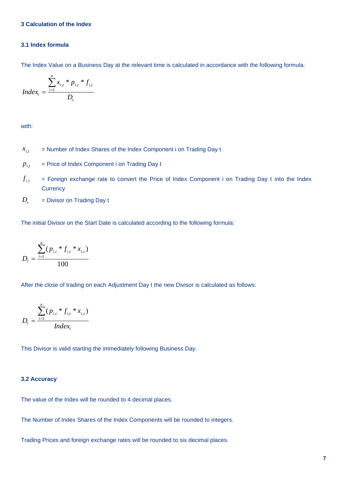# **3 Calculation of the Index**

## **3.1 Index formula**

The Index Value on a Business Day at the relevant time is calculated in accordance with the following formula:

$$
Index_{t} = \frac{\sum_{i=1}^{n} x_{i,t} * p_{i,t} * f_{i,t}}{D_{t}}
$$

with:

- = Number of Index Shares of the Index Component i on Trading Day t  $x_{i,t}$
- = Price of Index Component i on Trading Day t  $p_{i,t}$
- = Foreign exchange rate to convert the Price of Index Component i on Trading Day t into the Index **Currency**  $f_{i,t}$
- = Divisor on Trading Day t  $D_{t}$

The initial Divisor on the Start Date is calculated according to the following formula:

$$
D_{t} = \frac{\sum_{i=1}^{n} (p_{i,t} * f_{i,t} * x_{i,t})}{100}
$$

After the close of trading on each Adjustment Day t the new Divisor is calculated as follows:

$$
D_{t} = \frac{\sum_{i=1}^{n} (p_{i,t} * f_{i,t} * x_{i,t})}{Index_{t}}
$$

This Divisor is valid starting the immediately following Business Day.

# **3.2 Accuracy**

The value of the Index will be rounded to 4 decimal places.

The Number of Index Shares of the Index Components will be rounded to integers.

Trading Prices and foreign exchange rates will be rounded to six decimal places.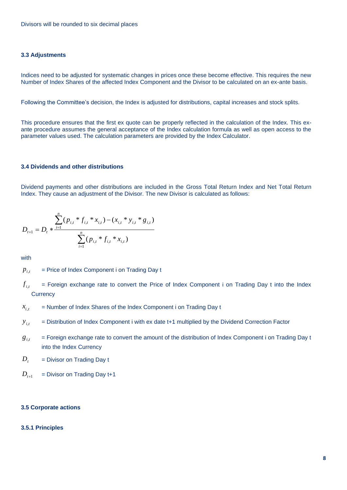# **3.3 Adjustments**

Indices need to be adjusted for systematic changes in prices once these become effective. This requires the new Number of Index Shares of the affected Index Component and the Divisor to be calculated on an ex-ante basis.

Following the Committee's decision, the Index is adjusted for distributions, capital increases and stock splits.

This procedure ensures that the first ex quote can be properly reflected in the calculation of the Index. This exante procedure assumes the general acceptance of the Index calculation formula as well as open access to the parameter values used. The calculation parameters are provided by the Index Calculator.

#### **3.4 Dividends and other distributions**

Dividend payments and other distributions are included in the Gross Total Return Index and Net Total Return Index. They cause an adjustment of the Divisor. The new Divisor is calculated as follows:

$$
D_{t+1} = D_t * \frac{\sum_{i=1}^n (p_{i,t} * f_{i,t} * x_{i,t}) - (x_{i,t} * y_{i,t} * g_{i,t})}{\sum_{i=1}^n (p_{i,t} * f_{i,t} * x_{i,t})}
$$

with

- = Price of Index Component i on Trading Day t *pi*,*t*
- = Foreign exchange rate to convert the Price of Index Component i on Trading Day t into the Index **Currency**  $f_{i,t}$
- = Number of Index Shares of the Index Component i on Trading Day t  $x_{i,t}$
- = Distribution of Index Component i with ex date t+1 multiplied by the Dividend Correction Factor  $y_{i,t}$
- = Foreign exchange rate to convert the amount of the distribution of Index Component i on Trading Day t into the Index Currency  $g_{i,t}$

= Divisor on Trading Day t  $D_t$ 

= Divisor on Trading Day t+1  $D_{t+1}$ 

#### **3.5 Corporate actions**

## **3.5.1 Principles**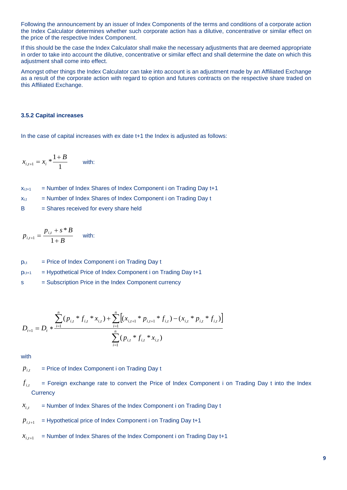Following the announcement by an issuer of Index Components of the terms and conditions of a corporate action the Index Calculator determines whether such corporate action has a dilutive, concentrative or similar effect on the price of the respective Index Component.

If this should be the case the Index Calculator shall make the necessary adjustments that are deemed appropriate in order to take into account the dilutive, concentrative or similar effect and shall determine the date on which this adjustment shall come into effect.

Amongst other things the Index Calculator can take into account is an adjustment made by an Affiliated Exchange as a result of the corporate action with regard to option and futures contracts on the respective share traded on this Affiliated Exchange.

# **3.5.2 Capital increases**

In the case of capital increases with ex date t+1 the Index is adjusted as follows:

$$
x_{i,t+1} = x_i * \frac{1+B}{1}
$$
 with:

 $x_{i,t+1}$  = Number of Index Shares of Index Component i on Trading Day  $t+1$  $x_{i,t}$  = Number of Index Shares of Index Component i on Trading Day t B = Shares received for every share held

$$
p_{i,t+1} = \frac{p_{i,t} + s * B}{1 + B}
$$
 with:

| <b>Di</b> ,t |  |  | = Price of Index Component i on Trading Day t |  |  |  |  |
|--------------|--|--|-----------------------------------------------|--|--|--|--|
|--------------|--|--|-----------------------------------------------|--|--|--|--|

 $p_{i,t+1}$  = Hypothetical Price of Index Component i on Trading Day  $t+1$ 

s = Subscription Price in the Index Component currency

$$
D_{t+1} = D_t * \frac{\sum_{i=1}^n (p_{i,t} * f_{i,t} * x_{i,t}) + \sum_{i=1}^n \left[ (x_{i,t+1} * p_{i,t+1} * f_{i,t}) - (x_{i,t} * p_{i,t} * f_{i,t}) \right]}{\sum_{i=1}^n (p_{i,t} * f_{i,t} * x_{i,t})}
$$

with

= Price of Index Component i on Trading Day t  $p_{i,t}$ 

- = Foreign exchange rate to convert the Price of Index Component i on Trading Day t into the Index **Currency**  $f_{i,t}$
- = Number of Index Shares of the Index Component i on Trading Day t  $x_{i,t}$
- = Hypothetical price of Index Component i on Trading Day t+1  $p_{i,t+1}$
- = Number of Index Shares of the Index Component i on Trading Day t+1  $x_{i,t+1}$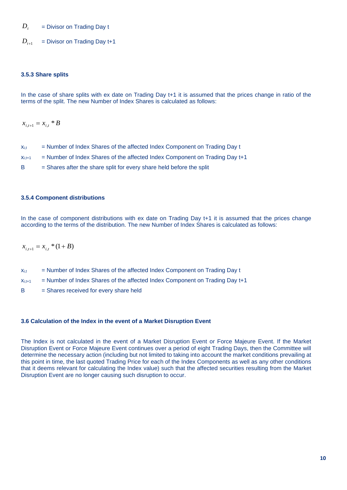= Divisor on Trading Day t  $D_t$ 

= Divisor on Trading Day t+1  $D_{t+1}$ 

# **3.5.3 Share splits**

In the case of share splits with ex date on Trading Day t+1 it is assumed that the prices change in ratio of the terms of the split. The new Number of Index Shares is calculated as follows:

 $x_{i,t+1} = x_{i,t} * B$ 

| $X_{i,t}$ | = Number of Index Shares of the affected Index Component on Trading Day t |  |  |  |  |
|-----------|---------------------------------------------------------------------------|--|--|--|--|
|-----------|---------------------------------------------------------------------------|--|--|--|--|

 $x_{i,t+1}$  = Number of Index Shares of the affected Index Component on Trading Day  $t+1$ 

B = Shares after the share split for every share held before the split

#### **3.5.4 Component distributions**

In the case of component distributions with ex date on Trading Day t+1 it is assumed that the prices change according to the terms of the distribution. The new Number of Index Shares is calculated as follows:

 $x_{i}$ <sub> $i+1$ </sub> =  $x_{i}$ <sup>\*</sup>  $(1+B)$ 

- $x_{i,t}$  = Number of Index Shares of the affected Index Component on Trading Day t
- $x_{i,t+1}$  = Number of Index Shares of the affected Index Component on Trading Day  $t+1$
- B = Shares received for every share held

#### **3.6 Calculation of the Index in the event of a Market Disruption Event**

The Index is not calculated in the event of a Market Disruption Event or Force Majeure Event. If the Market Disruption Event or Force Majeure Event continues over a period of eight Trading Days, then the Committee will determine the necessary action (including but not limited to taking into account the market conditions prevailing at this point in time, the last quoted Trading Price for each of the Index Components as well as any other conditions that it deems relevant for calculating the Index value) such that the affected securities resulting from the Market Disruption Event are no longer causing such disruption to occur.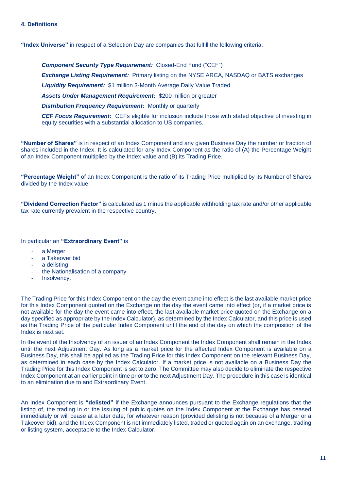# **4. Definitions**

**"Index Universe"** in respect of a Selection Day are companies that fulfill the following criteria:

*Component Security Type Requirement:* Closed-End Fund ("CEF") *Exchange Listing Requirement:* Primary listing on the NYSE ARCA, NASDAQ or BATS exchanges *Liquidity Requirement:* \$1 million 3-Month Average Daily Value Traded *Assets Under Management Requirement:* \$200 million or greater *Distribution Frequency Requirement: Monthly or quarterly* 

*CEF Focus Requirement:* CEFs eligible for inclusion include those with stated objective of investing in equity securities with a substantial allocation to US companies.

**"Number of Shares"** is in respect of an Index Component and any given Business Day the number or fraction of shares included in the Index. It is calculated for any Index Component as the ratio of (A) the Percentage Weight of an Index Component multiplied by the Index value and (B) its Trading Price.

**"Percentage Weight"** of an Index Component is the ratio of its Trading Price multiplied by its Number of Shares divided by the Index value.

**"Dividend Correction Factor"** is calculated as 1 minus the applicable withholding tax rate and/or other applicable tax rate currently prevalent in the respective country.

In particular an **"Extraordinary Event"** is

- a Merger
- a Takeover bid
- a delisting
- the Nationalisation of a company
- Insolvency.

The Trading Price for this Index Component on the day the event came into effect is the last available market price for this Index Component quoted on the Exchange on the day the event came into effect (or, if a market price is not available for the day the event came into effect, the last available market price quoted on the Exchange on a day specified as appropriate by the Index Calculator), as determined by the Index Calculator, and this price is used as the Trading Price of the particular Index Component until the end of the day on which the composition of the Index is next set.

In the event of the Insolvency of an issuer of an Index Component the Index Component shall remain in the Index until the next Adjustment Day. As long as a market price for the affected Index Component is available on a Business Day, this shall be applied as the Trading Price for this Index Component on the relevant Business Day, as determined in each case by the Index Calculator. If a market price is not available on a Business Day the Trading Price for this Index Component is set to zero. The Committee may also decide to eliminate the respective Index Component at an earlier point in time prior to the next Adjustment Day. The procedure in this case is identical to an elimination due to and Extraordinary Event.

An Index Component is **"delisted"** if the Exchange announces pursuant to the Exchange regulations that the listing of, the trading in or the issuing of public quotes on the Index Component at the Exchange has ceased immediately or will cease at a later date, for whatever reason (provided delisting is not because of a Merger or a Takeover bid), and the Index Component is not immediately listed, traded or quoted again on an exchange, trading or listing system, acceptable to the Index Calculator.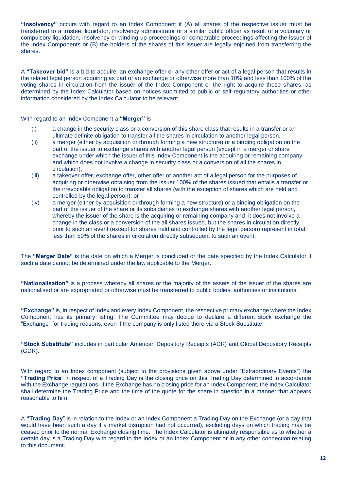**"Insolvency"** occurs with regard to an Index Component if (A) all shares of the respective issuer must be transferred to a trustee, liquidator, insolvency administrator or a similar public officer as result of a voluntary or compulsory liquidation, insolvency or winding-up proceedings or comparable proceedings affecting the issuer of the Index Components or (B) the holders of the shares of this issuer are legally enjoined from transferring the shares.

A **"Takeover bid"** is a bid to acquire, an exchange offer or any other offer or act of a legal person that results in the related legal person acquiring as part of an exchange or otherwise more than 10% and less than 100% of the voting shares in circulation from the issuer of the Index Component or the right to acquire these shares, as determined by the Index Calculator based on notices submitted to public or self-regulatory authorities or other information considered by the Index Calculator to be relevant.

With regard to an Index Component a **"Merger"** is

- (i) a change in the security class or a conversion of this share class that results in a transfer or an ultimate definite obligation to transfer all the shares in circulation to another legal person,
- (ii) a merger (either by acquisition or through forming a new structure) or a binding obligation on the part of the issuer to exchange shares with another legal person (except in a merger or share exchange under which the issuer of this Index Component is the acquiring or remaining company and which does not involve a change in security class or a conversion of all the shares in circulation),
- (iii) a takeover offer, exchange offer, other offer or another act of a legal person for the purposes of acquiring or otherwise obtaining from the issuer 100% of the shares issued that entails a transfer or the irrevocable obligation to transfer all shares (with the exception of shares which are held and controlled by the legal person), or
- (iv) a merger (either by acquisition or through forming a new structure) or a binding obligation on the part of the issuer of the share or its subsidiaries to exchange shares with another legal person, whereby the issuer of the share is the acquiring or remaining company and it does not involve a change in the class or a conversion of the all shares issued, but the shares in circulation directly prior to such an event (except for shares held and controlled by the legal person) represent in total less than 50% of the shares in circulation directly subsequent to such an event.

The **"Merger Date"** is the date on which a Merger is concluded or the date specified by the Index Calculator if such a date cannot be determined under the law applicable to the Merger.

**"Nationalisation"** is a process whereby all shares or the majority of the assets of the issuer of the shares are nationalised or are expropriated or otherwise must be transferred to public bodies, authorities or institutions.

**"Exchange"** is, in respect of Index and every Index Component, the respective primary exchange where the Index Component has its primary listing. The Committee may decide to declare a different stock exchange the "Exchange" for trading reasons, even if the company is only listed there via a Stock Substitute.

**"Stock Substitute"** includes in particular American Depository Receipts (ADR) and Global Depository Receipts (GDR).

With regard to an Index component (subject to the provisions given above under "Extraordinary Events") the **"Trading Price**" in respect of a Trading Day is the closing price on this Trading Day determined in accordance with the Exchange regulations. If the Exchange has no closing price for an Index Component, the Index Calculator shall determine the Trading Price and the time of the quote for the share in question in a manner that appears reasonable to him.

A **"Trading Day**" is in relation to the Index or an Index Component a Trading Day on the Exchange (or a day that would have been such a day if a market disruption had not occurred), excluding days on which trading may be ceased prior to the normal Exchange closing time. The Index Calculator is ultimately responsible as to whether a certain day is a Trading Day with regard to the Index or an Index Component or in any other connection relating to this document.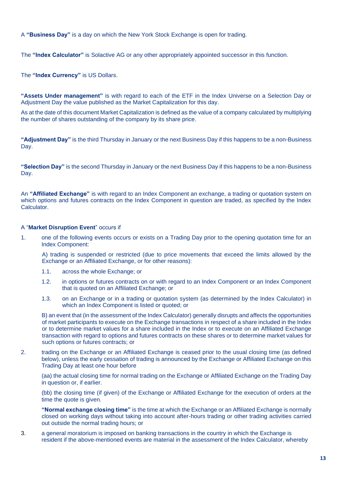A **"Business Day"** is a day on which the New York Stock Exchange is open for trading.

The **"Index Calculator"** is Solactive AG or any other appropriately appointed successor in this function.

The **"Index Currency"** is US Dollars.

**"Assets Under management"** is with regard to each of the ETF in the Index Universe on a Selection Day or Adjustment Day the value published as the Market Capitalization for this day.

As at the date of this document Market Capitalization is defined as the value of a company calculated by multiplying the number of shares outstanding of the company by its share price.

**"Adjustment Day"** is the third Thursday in January or the next Business Day if this happens to be a non-Business Day.

**"Selection Day"** is the second Thursday in January or the next Business Day if this happens to be a non-Business Day.

An **"Affiliated Exchange"** is with regard to an Index Component an exchange, a trading or quotation system on which options and futures contracts on the Index Component in question are traded, as specified by the Index Calculator.

# A "**Market Disruption Event**" occurs if

1. one of the following events occurs or exists on a Trading Day prior to the opening quotation time for an Index Component:

A) trading is suspended or restricted (due to price movements that exceed the limits allowed by the Exchange or an Affiliated Exchange, or for other reasons):

- 1.1. across the whole Exchange; or
- 1.2. in options or futures contracts on or with regard to an Index Component or an Index Component that is quoted on an Affiliated Exchange; or
- 1.3. on an Exchange or in a trading or quotation system (as determined by the Index Calculator) in which an Index Component is listed or quoted; or

B) an event that (in the assessment of the Index Calculator) generally disrupts and affects the opportunities of market participants to execute on the Exchange transactions in respect of a share included in the Index or to determine market values for a share included in the Index or to execute on an Affiliated Exchange transaction with regard to options and futures contracts on these shares or to determine market values for such options or futures contracts; or

2. trading on the Exchange or an Affiliated Exchange is ceased prior to the usual closing time (as defined below), unless the early cessation of trading is announced by the Exchange or Affiliated Exchange on this Trading Day at least one hour before

(aa) the actual closing time for normal trading on the Exchange or Affiliated Exchange on the Trading Day in question or, if earlier.

(bb) the closing time (if given) of the Exchange or Affiliated Exchange for the execution of orders at the time the quote is given.

**"Normal exchange closing time"** is the time at which the Exchange or an Affiliated Exchange is normally closed on working days without taking into account after-hours trading or other trading activities carried out outside the normal trading hours; or

3. a general moratorium is imposed on banking transactions in the country in which the Exchange is resident if the above-mentioned events are material in the assessment of the Index Calculator, whereby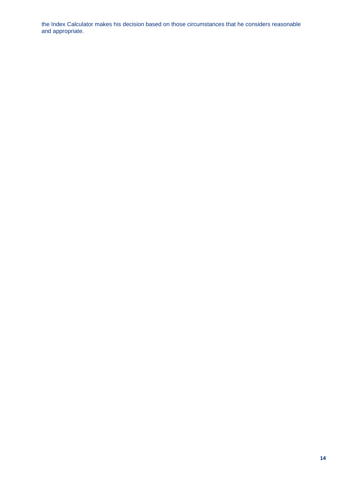the Index Calculator makes his decision based on those circumstances that he considers reasonable and appropriate.